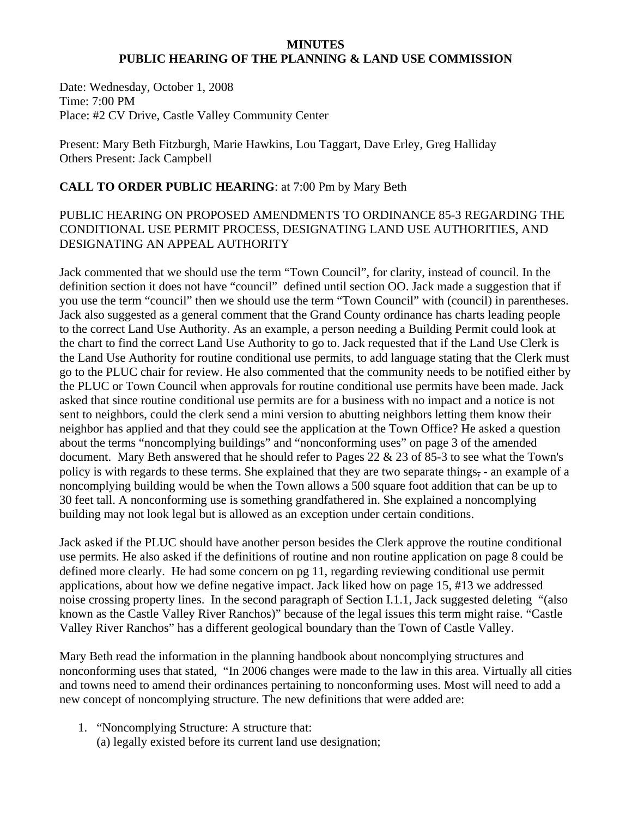#### **MINUTES PUBLIC HEARING OF THE PLANNING & LAND USE COMMISSION**

Date: Wednesday, October 1, 2008 Time: 7:00 PM Place: #2 CV Drive, Castle Valley Community Center

Present: Mary Beth Fitzburgh, Marie Hawkins, Lou Taggart, Dave Erley, Greg Halliday Others Present: Jack Campbell

#### **CALL TO ORDER PUBLIC HEARING**: at 7:00 Pm by Mary Beth

#### PUBLIC HEARING ON PROPOSED AMENDMENTS TO ORDINANCE 85-3 REGARDING THE CONDITIONAL USE PERMIT PROCESS, DESIGNATING LAND USE AUTHORITIES, AND DESIGNATING AN APPEAL AUTHORITY

Jack commented that we should use the term "Town Council", for clarity, instead of council. In the definition section it does not have "council" defined until section OO. Jack made a suggestion that if you use the term "council" then we should use the term "Town Council" with (council) in parentheses. Jack also suggested as a general comment that the Grand County ordinance has charts leading people to the correct Land Use Authority. As an example, a person needing a Building Permit could look at the chart to find the correct Land Use Authority to go to. Jack requested that if the Land Use Clerk is the Land Use Authority for routine conditional use permits, to add language stating that the Clerk must go to the PLUC chair for review. He also commented that the community needs to be notified either by the PLUC or Town Council when approvals for routine conditional use permits have been made. Jack asked that since routine conditional use permits are for a business with no impact and a notice is not sent to neighbors, could the clerk send a mini version to abutting neighbors letting them know their neighbor has applied and that they could see the application at the Town Office? He asked a question about the terms "noncomplying buildings" and "nonconforming uses" on page 3 of the amended document. Mary Beth answered that he should refer to Pages 22 & 23 of 85-3 to see what the Town's policy is with regards to these terms. She explained that they are two separate things, - an example of a noncomplying building would be when the Town allows a 500 square foot addition that can be up to 30 feet tall. A nonconforming use is something grandfathered in. She explained a noncomplying building may not look legal but is allowed as an exception under certain conditions.

Jack asked if the PLUC should have another person besides the Clerk approve the routine conditional use permits. He also asked if the definitions of routine and non routine application on page 8 could be defined more clearly. He had some concern on pg 11, regarding reviewing conditional use permit applications, about how we define negative impact. Jack liked how on page 15, #13 we addressed noise crossing property lines. In the second paragraph of Section I.1.1, Jack suggested deleting "(also known as the Castle Valley River Ranchos)" because of the legal issues this term might raise. "Castle Valley River Ranchos" has a different geological boundary than the Town of Castle Valley.

Mary Beth read the information in the planning handbook about noncomplying structures and nonconforming uses that stated, "In 2006 changes were made to the law in this area. Virtually all cities and towns need to amend their ordinances pertaining to nonconforming uses. Most will need to add a new concept of noncomplying structure. The new definitions that were added are:

1. "Noncomplying Structure: A structure that: (a) legally existed before its current land use designation;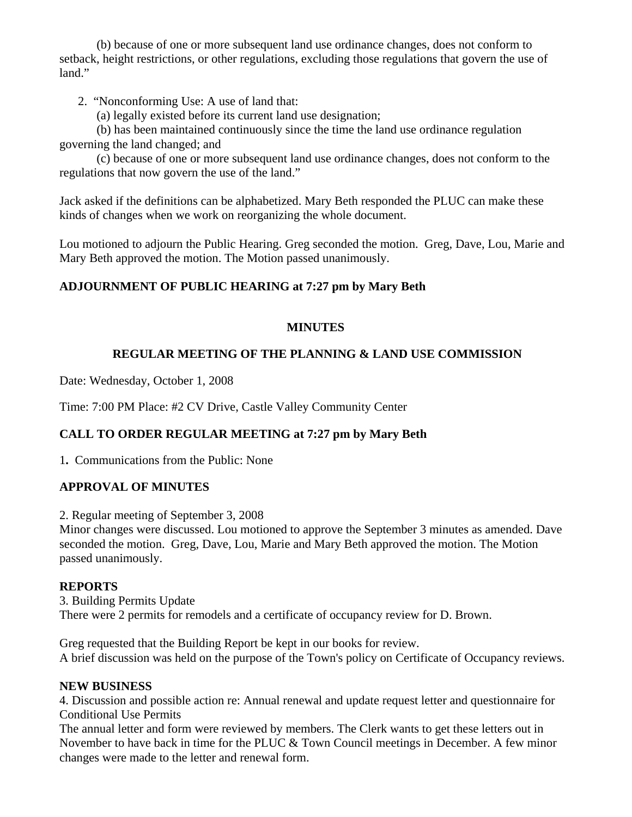(b) because of one or more subsequent land use ordinance changes, does not conform to setback, height restrictions, or other regulations, excluding those regulations that govern the use of land."

2. "Nonconforming Use: A use of land that:

(a) legally existed before its current land use designation;

 (b) has been maintained continuously since the time the land use ordinance regulation governing the land changed; and

 (c) because of one or more subsequent land use ordinance changes, does not conform to the regulations that now govern the use of the land."

Jack asked if the definitions can be alphabetized. Mary Beth responded the PLUC can make these kinds of changes when we work on reorganizing the whole document.

Lou motioned to adjourn the Public Hearing. Greg seconded the motion. Greg, Dave, Lou, Marie and Mary Beth approved the motion. The Motion passed unanimously.

# **ADJOURNMENT OF PUBLIC HEARING at 7:27 pm by Mary Beth**

## **MINUTES**

# **REGULAR MEETING OF THE PLANNING & LAND USE COMMISSION**

Date: Wednesday, October 1, 2008

Time: 7:00 PM Place: #2 CV Drive, Castle Valley Community Center

## **CALL TO ORDER REGULAR MEETING at 7:27 pm by Mary Beth**

1**.** Communications from the Public: None

## **APPROVAL OF MINUTES**

2. Regular meeting of September 3, 2008

Minor changes were discussed. Lou motioned to approve the September 3 minutes as amended. Dave seconded the motion. Greg, Dave, Lou, Marie and Mary Beth approved the motion. The Motion passed unanimously.

#### **REPORTS**

3. Building Permits Update There were 2 permits for remodels and a certificate of occupancy review for D. Brown.

Greg requested that the Building Report be kept in our books for review. A brief discussion was held on the purpose of the Town's policy on Certificate of Occupancy reviews.

#### **NEW BUSINESS**

4. Discussion and possible action re: Annual renewal and update request letter and questionnaire for Conditional Use Permits

The annual letter and form were reviewed by members. The Clerk wants to get these letters out in November to have back in time for the PLUC & Town Council meetings in December. A few minor changes were made to the letter and renewal form.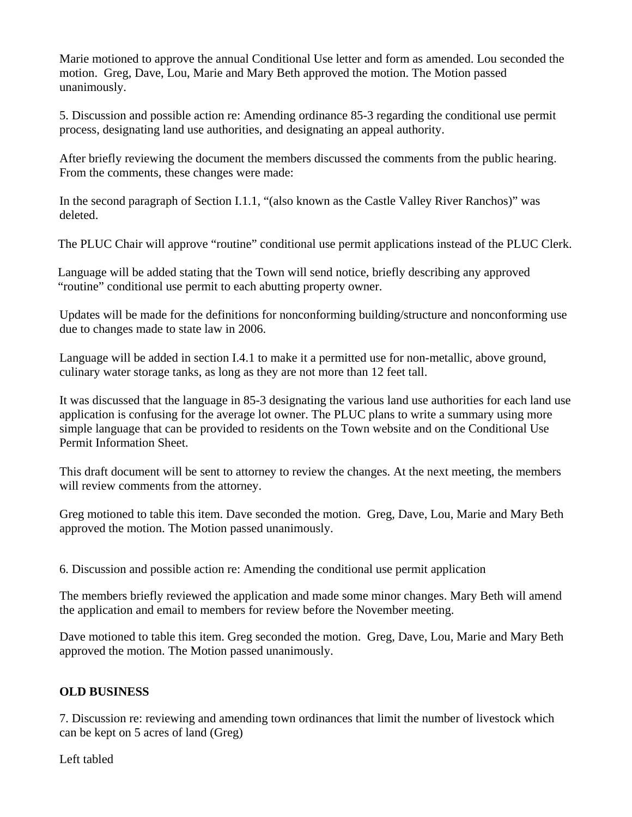Marie motioned to approve the annual Conditional Use letter and form as amended. Lou seconded the motion. Greg, Dave, Lou, Marie and Mary Beth approved the motion. The Motion passed unanimously.

5. Discussion and possible action re: Amending ordinance 85-3 regarding the conditional use permit process, designating land use authorities, and designating an appeal authority.

After briefly reviewing the document the members discussed the comments from the public hearing. From the comments, these changes were made:

In the second paragraph of Section I.1.1, "(also known as the Castle Valley River Ranchos)" was deleted.

The PLUC Chair will approve "routine" conditional use permit applications instead of the PLUC Clerk.

Language will be added stating that the Town will send notice, briefly describing any approved "routine" conditional use permit to each abutting property owner.

Updates will be made for the definitions for nonconforming building/structure and nonconforming use due to changes made to state law in 2006.

Language will be added in section I.4.1 to make it a permitted use for non-metallic, above ground, culinary water storage tanks, as long as they are not more than 12 feet tall.

It was discussed that the language in 85-3 designating the various land use authorities for each land use application is confusing for the average lot owner. The PLUC plans to write a summary using more simple language that can be provided to residents on the Town website and on the Conditional Use Permit Information Sheet.

This draft document will be sent to attorney to review the changes. At the next meeting, the members will review comments from the attorney.

Greg motioned to table this item. Dave seconded the motion. Greg, Dave, Lou, Marie and Mary Beth approved the motion. The Motion passed unanimously.

6. Discussion and possible action re: Amending the conditional use permit application

The members briefly reviewed the application and made some minor changes. Mary Beth will amend the application and email to members for review before the November meeting.

Dave motioned to table this item. Greg seconded the motion. Greg, Dave, Lou, Marie and Mary Beth approved the motion. The Motion passed unanimously.

## **OLD BUSINESS**

7. Discussion re: reviewing and amending town ordinances that limit the number of livestock which can be kept on 5 acres of land (Greg)

Left tabled